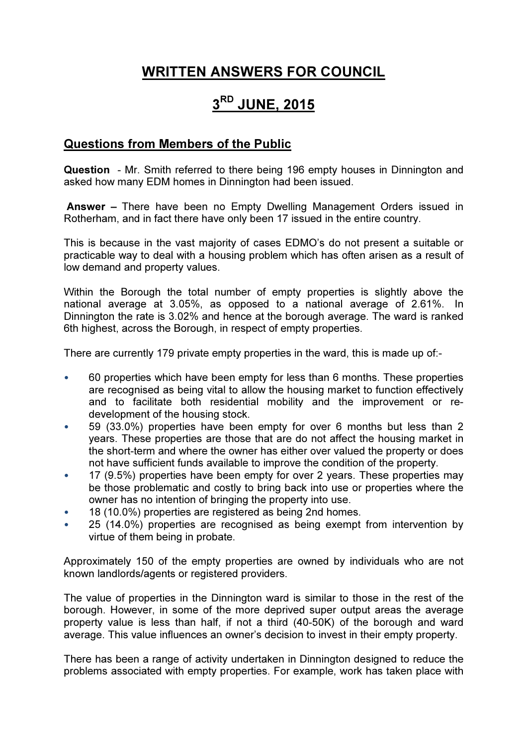## WRITTEN ANSWERS FOR COUNCIL

# 3<sup>RD</sup> JUNE, 2015

#### Questions from Members of the Public

Question - Mr. Smith referred to there being 196 empty houses in Dinnington and asked how many EDM homes in Dinnington had been issued.

 Answer – There have been no Empty Dwelling Management Orders issued in Rotherham, and in fact there have only been 17 issued in the entire country.

This is because in the vast majority of cases EDMO's do not present a suitable or practicable way to deal with a housing problem which has often arisen as a result of low demand and property values.

Within the Borough the total number of empty properties is slightly above the national average at 3.05%, as opposed to a national average of 2.61%. In Dinnington the rate is 3.02% and hence at the borough average. The ward is ranked 6th highest, across the Borough, in respect of empty properties.

There are currently 179 private empty properties in the ward, this is made up of:-

- 60 properties which have been empty for less than 6 months. These properties are recognised as being vital to allow the housing market to function effectively and to facilitate both residential mobility and the improvement or redevelopment of the housing stock.
- 59 (33.0%) properties have been empty for over 6 months but less than 2 years. These properties are those that are do not affect the housing market in the short-term and where the owner has either over valued the property or does not have sufficient funds available to improve the condition of the property.
- 17 (9.5%) properties have been empty for over 2 years. These properties may be those problematic and costly to bring back into use or properties where the owner has no intention of bringing the property into use.
- 18 (10.0%) properties are registered as being 2nd homes.
- 25 (14.0%) properties are recognised as being exempt from intervention by virtue of them being in probate.

Approximately 150 of the empty properties are owned by individuals who are not known landlords/agents or registered providers.

The value of properties in the Dinnington ward is similar to those in the rest of the borough. However, in some of the more deprived super output areas the average property value is less than half, if not a third (40-50K) of the borough and ward average. This value influences an owner's decision to invest in their empty property.

There has been a range of activity undertaken in Dinnington designed to reduce the problems associated with empty properties. For example, work has taken place with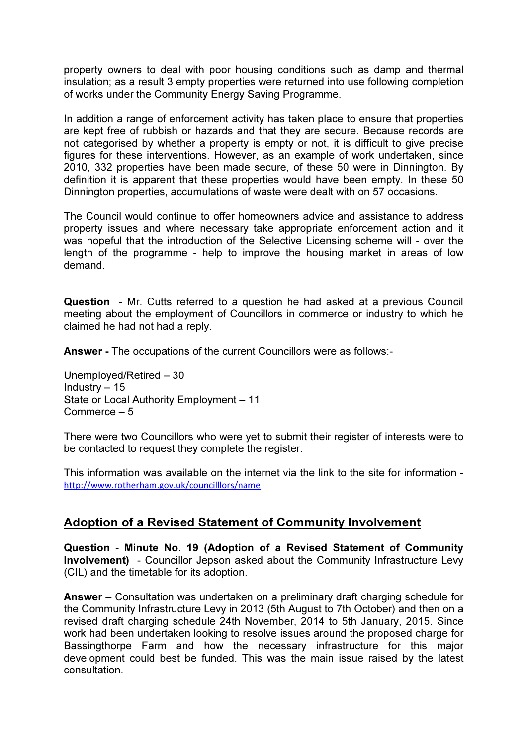property owners to deal with poor housing conditions such as damp and thermal insulation; as a result 3 empty properties were returned into use following completion of works under the Community Energy Saving Programme.

In addition a range of enforcement activity has taken place to ensure that properties are kept free of rubbish or hazards and that they are secure. Because records are not categorised by whether a property is empty or not, it is difficult to give precise figures for these interventions. However, as an example of work undertaken, since 2010, 332 properties have been made secure, of these 50 were in Dinnington. By definition it is apparent that these properties would have been empty. In these 50 Dinnington properties, accumulations of waste were dealt with on 57 occasions.

The Council would continue to offer homeowners advice and assistance to address property issues and where necessary take appropriate enforcement action and it was hopeful that the introduction of the Selective Licensing scheme will - over the length of the programme - help to improve the housing market in areas of low demand.

Question - Mr. Cutts referred to a question he had asked at a previous Council meeting about the employment of Councillors in commerce or industry to which he claimed he had not had a reply.

Answer - The occupations of the current Councillors were as follows:-

Unemployed/Retired – 30 Industry – 15 State or Local Authority Employment – 11 Commerce – 5

There were two Councillors who were yet to submit their register of interests were to be contacted to request they complete the register.

This information was available on the internet via the link to the site for information http://www.rotherham.gov.uk/councilllors/name

#### Adoption of a Revised Statement of Community Involvement

Question - Minute No. 19 (Adoption of a Revised Statement of Community Involvement) - Councillor Jepson asked about the Community Infrastructure Levy (CIL) and the timetable for its adoption.

Answer – Consultation was undertaken on a preliminary draft charging schedule for the Community Infrastructure Levy in 2013 (5th August to 7th October) and then on a revised draft charging schedule 24th November, 2014 to 5th January, 2015. Since work had been undertaken looking to resolve issues around the proposed charge for Bassingthorpe Farm and how the necessary infrastructure for this major development could best be funded. This was the main issue raised by the latest consultation.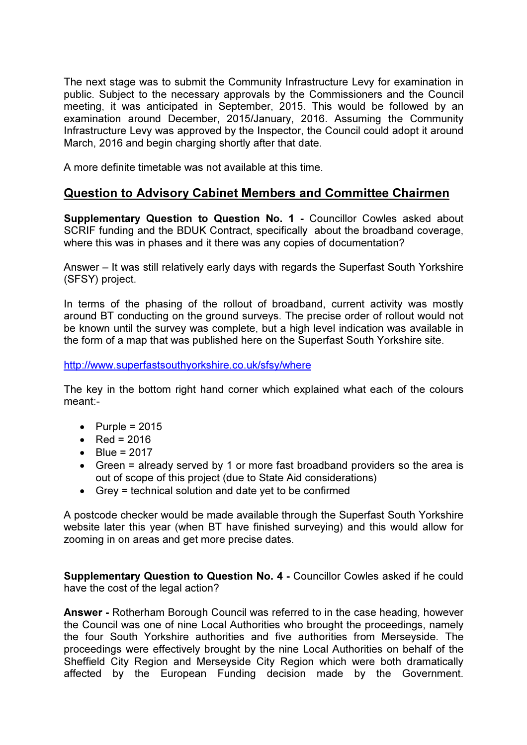The next stage was to submit the Community Infrastructure Levy for examination in public. Subject to the necessary approvals by the Commissioners and the Council meeting, it was anticipated in September, 2015. This would be followed by an examination around December, 2015/January, 2016. Assuming the Community Infrastructure Levy was approved by the Inspector, the Council could adopt it around March, 2016 and begin charging shortly after that date.

A more definite timetable was not available at this time.

### Question to Advisory Cabinet Members and Committee Chairmen

Supplementary Question to Question No. 1 - Councillor Cowles asked about SCRIF funding and the BDUK Contract, specifically about the broadband coverage, where this was in phases and it there was any copies of documentation?

Answer – It was still relatively early days with regards the Superfast South Yorkshire (SFSY) project.

In terms of the phasing of the rollout of broadband, current activity was mostly around BT conducting on the ground surveys. The precise order of rollout would not be known until the survey was complete, but a high level indication was available in the form of a map that was published here on the Superfast South Yorkshire site.

#### http://www.superfastsouthyorkshire.co.uk/sfsy/where

The key in the bottom right hand corner which explained what each of the colours meant:-

- Purple =  $2015$
- Red =  $2016$
- $\bullet$  Blue = 2017
- Green = already served by 1 or more fast broadband providers so the area is out of scope of this project (due to State Aid considerations)
- Grey = technical solution and date yet to be confirmed

A postcode checker would be made available through the Superfast South Yorkshire website later this year (when BT have finished surveying) and this would allow for zooming in on areas and get more precise dates.

Supplementary Question to Question No. 4 - Councillor Cowles asked if he could have the cost of the legal action?

Answer - Rotherham Borough Council was referred to in the case heading, however the Council was one of nine Local Authorities who brought the proceedings, namely the four South Yorkshire authorities and five authorities from Merseyside. The proceedings were effectively brought by the nine Local Authorities on behalf of the Sheffield City Region and Merseyside City Region which were both dramatically affected by the European Funding decision made by the Government.